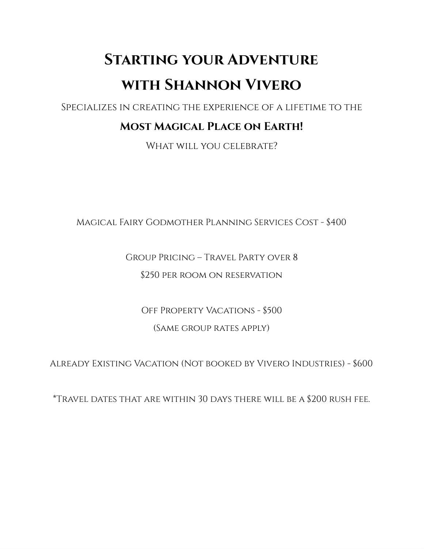# **Starting your Adventure with Shannon Vivero**

Specializes in creating the experience of a lifetime to the

## **Most Magical Place on Earth!**

WHAT WILL YOU CELEBRATE?

Magical Fairy Godmother Planning Services Cost - \$400

### Group Pricing – Travel Party over 8

#### \$250 per room on reservation

Off Property Vacations - \$500 (Same group rates apply)

Already Existing Vacation (Not booked by Vivero Industries) - \$600

\*Travel dates that are within 30 days there will be a \$200 rush fee.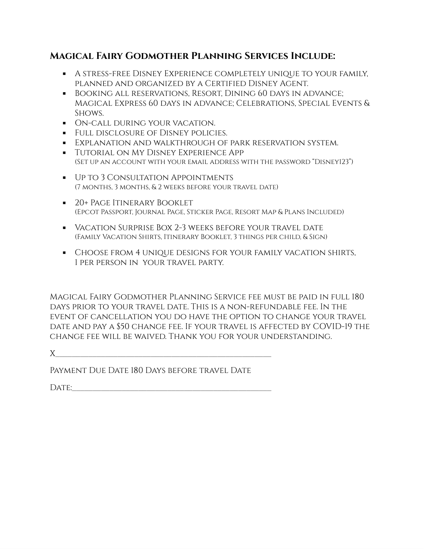#### **Magical Fairy Godmother Planning Services Include:**

- A stress-free Disney Experience completely unique to your family, planned and organized by a Certified Disney Agent.
- Booking all reservations, Resort, Dining 60 days in advance; Magical Express 60 days in advance; Celebrations, Special Events & Shows.
- On-call during your vacation.
- **Full disclosure of Disney policies.**
- **EXPLANATION AND WALKTHROUGH OF PARK RESERVATION SYSTEM.**
- **Tutorial on My Disney Experience App** (Set up an account with your email address with the password "Disney123")
- Up to 3 Consultation Appointments (7 months, 3 months, & 2 weeks before your travel date)
- **20+ Page Itinerary Booklet** (Epcot Passport, Journal Page, Sticker Page, Resort Map & Plans Included)
- Vacation Surprise Box 2-3 weeks before your travel date (Family Vacation Shirts, Itinerary Booklet, 3 things per child, & Sign)
- Choose from 4 unique designs for your family vacation shirts, 1 per person in your travel party.

Magical Fairy Godmother Planning Service fee must be paid in full 180 days prior to your travel date. This is a non-refundable fee. In the event of cancellation you do have the option to change your travel date and pay a \$50 change fee. If your travel is affected by COVID-19 the change fee will be waived. Thank you for your understanding.

 $X$  and the contract of the contract of  $X$ 

PAYMENT DUE DATE 180 DAYS BEFORE TRAVEL DATE

 $\Box$ ate: